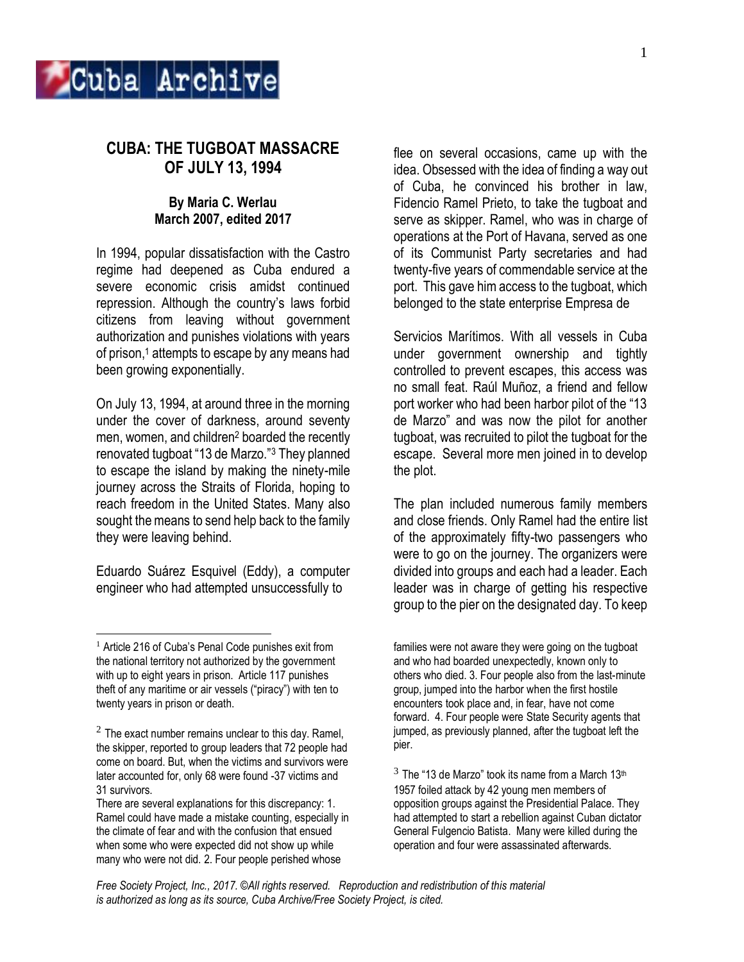

# **CUBA: THE TUGBOAT MASSACRE OF JULY 13, 1994**

## **By Maria C. Werlau March 2007, edited 2017**

In 1994, popular dissatisfaction with the Castro regime had deepened as Cuba endured a severe economic crisis amidst continued repression. Although the country's laws forbid citizens from leaving without government authorization and punishes violations with years of prison,<sup>1</sup> attempts to escape by any means had been growing exponentially.

On July 13, 1994, at around three in the morning under the cover of darkness, around seventy men, women, and children<sup>2</sup> boarded the recently renovated tugboat "13 de Marzo."<sup>3</sup> They planned to escape the island by making the ninety-mile journey across the Straits of Florida, hoping to reach freedom in the United States. Many also sought the means to send help back to the family they were leaving behind.

Eduardo Suárez Esquivel (Eddy), a computer engineer who had attempted unsuccessfully to

 $\overline{a}$ 

flee on several occasions, came up with the idea. Obsessed with the idea of finding a way out of Cuba, he convinced his brother in law, Fidencio Ramel Prieto, to take the tugboat and serve as skipper. Ramel, who was in charge of operations at the Port of Havana, served as one of its Communist Party secretaries and had twenty-five years of commendable service at the port. This gave him access to the tugboat, which belonged to the state enterprise Empresa de

Servicios Marítimos. With all vessels in Cuba under government ownership and tightly controlled to prevent escapes, this access was no small feat. Raúl Muñoz, a friend and fellow port worker who had been harbor pilot of the "13 de Marzo" and was now the pilot for another tugboat, was recruited to pilot the tugboat for the escape. Several more men joined in to develop the plot.

The plan included numerous family members and close friends. Only Ramel had the entire list of the approximately fifty-two passengers who were to go on the journey. The organizers were divided into groups and each had a leader. Each leader was in charge of getting his respective group to the pier on the designated day. To keep

 $3$  The "13 de Marzo" took its name from a March 13<sup>th</sup> 1957 foiled attack by 42 young men members of opposition groups against the Presidential Palace. They had attempted to start a rebellion against Cuban dictator General Fulgencio Batista. Many were killed during the operation and four were assassinated afterwards.

<sup>&</sup>lt;sup>1</sup> Article 216 of Cuba's Penal Code punishes exit from the national territory not authorized by the government with up to eight years in prison. Article 117 punishes theft of any maritime or air vessels ("piracy") with ten to twenty years in prison or death.

 $2$  The exact number remains unclear to this day. Ramel, the skipper, reported to group leaders that 72 people had come on board. But, when the victims and survivors were later accounted for, only 68 were found -37 victims and 31 survivors.

There are several explanations for this discrepancy: 1. Ramel could have made a mistake counting, especially in the climate of fear and with the confusion that ensued when some who were expected did not show up while many who were not did. 2. Four people perished whose

families were not aware they were going on the tugboat and who had boarded unexpectedly, known only to others who died. 3. Four people also from the last-minute group, jumped into the harbor when the first hostile encounters took place and, in fear, have not come forward. 4. Four people were State Security agents that jumped, as previously planned, after the tugboat left the pier.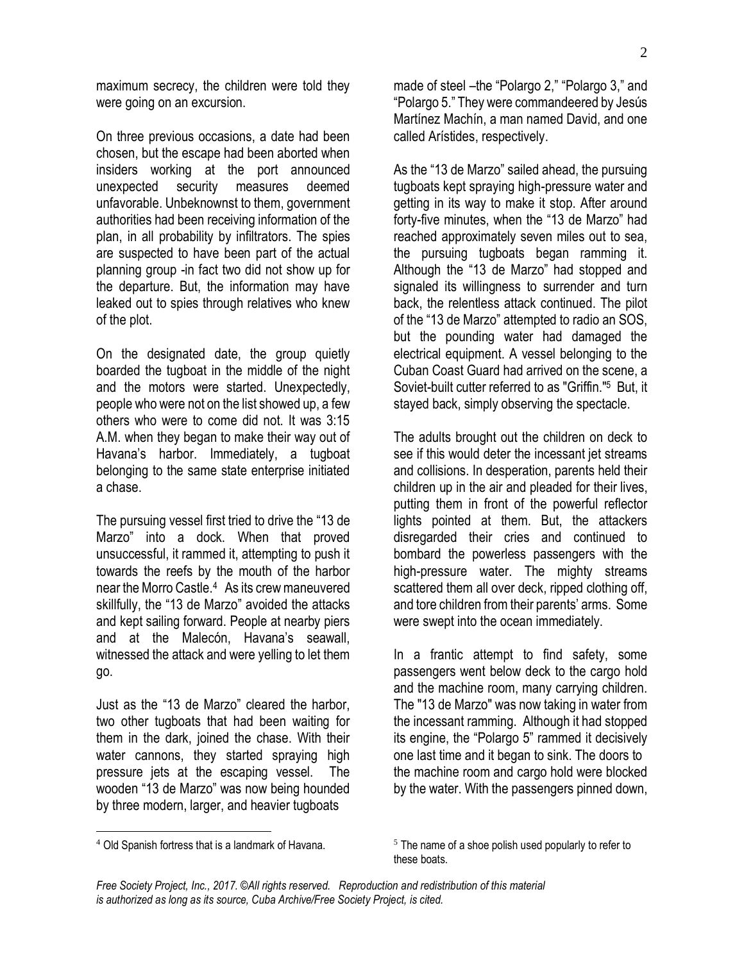maximum secrecy, the children were told they were going on an excursion.

On three previous occasions, a date had been chosen, but the escape had been aborted when insiders working at the port announced unexpected security measures deemed unfavorable. Unbeknownst to them, government authorities had been receiving information of the plan, in all probability by infiltrators. The spies are suspected to have been part of the actual planning group -in fact two did not show up for the departure. But, the information may have leaked out to spies through relatives who knew of the plot.

On the designated date, the group quietly boarded the tugboat in the middle of the night and the motors were started. Unexpectedly, people who were not on the list showed up, a few others who were to come did not. It was 3:15 A.M. when they began to make their way out of Havana's harbor. Immediately, a tugboat belonging to the same state enterprise initiated a chase.

The pursuing vessel first tried to drive the "13 de Marzo" into a dock. When that proved unsuccessful, it rammed it, attempting to push it towards the reefs by the mouth of the harbor near the Morro Castle.<sup>4</sup> As its crew maneuvered skillfully, the "13 de Marzo" avoided the attacks and kept sailing forward. People at nearby piers and at the Malecón, Havana's seawall, witnessed the attack and were yelling to let them go.

Just as the "13 de Marzo" cleared the harbor, two other tugboats that had been waiting for them in the dark, joined the chase. With their water cannons, they started spraying high pressure jets at the escaping vessel. The wooden "13 de Marzo" was now being hounded by three modern, larger, and heavier tugboats

made of steel –the "Polargo 2," "Polargo 3," and "Polargo 5." They were commandeered by Jesús Martínez Machín, a man named David, and one called Arístides, respectively.

As the "13 de Marzo" sailed ahead, the pursuing tugboats kept spraying high-pressure water and getting in its way to make it stop. After around forty-five minutes, when the "13 de Marzo" had reached approximately seven miles out to sea, the pursuing tugboats began ramming it. Although the "13 de Marzo" had stopped and signaled its willingness to surrender and turn back, the relentless attack continued. The pilot of the "13 de Marzo" attempted to radio an SOS, but the pounding water had damaged the electrical equipment. A vessel belonging to the Cuban Coast Guard had arrived on the scene, a Soviet-built cutter referred to as "Griffin."<sup>5</sup> But, it stayed back, simply observing the spectacle.

The adults brought out the children on deck to see if this would deter the incessant jet streams and collisions. In desperation, parents held their children up in the air and pleaded for their lives, putting them in front of the powerful reflector lights pointed at them. But, the attackers disregarded their cries and continued to bombard the powerless passengers with the high-pressure water. The mighty streams scattered them all over deck, ripped clothing off, and tore children from their parents' arms. Some were swept into the ocean immediately.

In a frantic attempt to find safety, some passengers went below deck to the cargo hold and the machine room, many carrying children. The "13 de Marzo" was now taking in water from the incessant ramming. Although it had stopped its engine, the "Polargo 5" rammed it decisively one last time and it began to sink. The doors to the machine room and cargo hold were blocked by the water. With the passengers pinned down,

 $\overline{a}$ 

<sup>4</sup> Old Spanish fortress that is a landmark of Havana.

 $5$  The name of a shoe polish used popularly to refer to these boats.

*Free Society Project, Inc., 2017. ©All rights reserved. Reproduction and redistribution of this material is authorized as long as its source, Cuba Archive/Free Society Project, is cited.*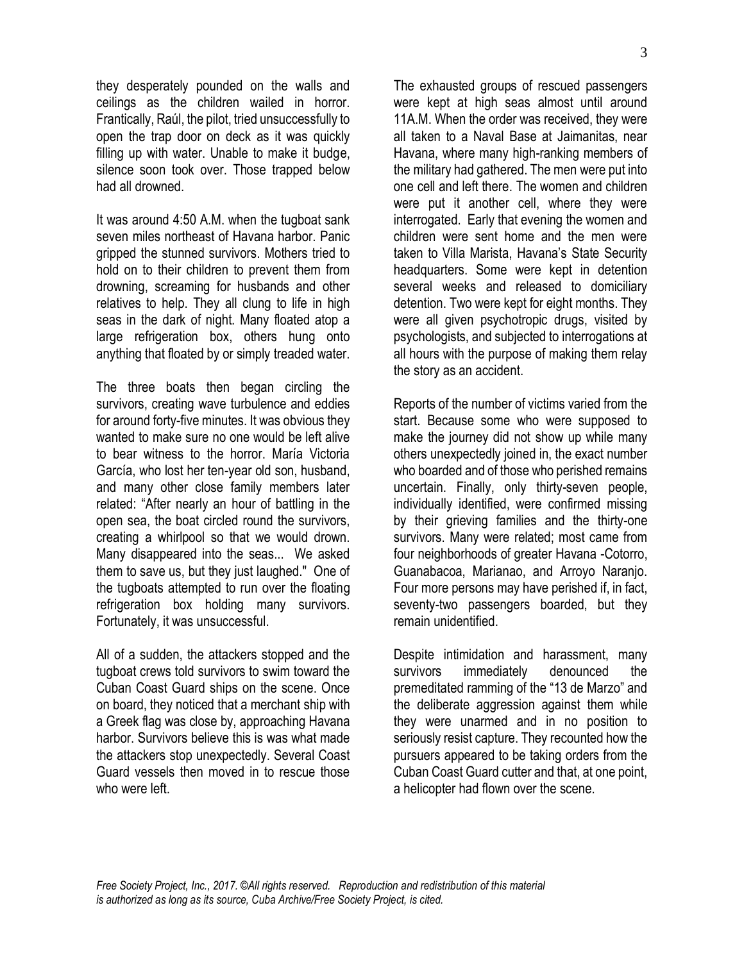they desperately pounded on the walls and ceilings as the children wailed in horror. Frantically, Raúl, the pilot, tried unsuccessfully to open the trap door on deck as it was quickly filling up with water. Unable to make it budge, silence soon took over. Those trapped below had all drowned.

It was around 4:50 A.M. when the tugboat sank seven miles northeast of Havana harbor. Panic gripped the stunned survivors. Mothers tried to hold on to their children to prevent them from drowning, screaming for husbands and other relatives to help. They all clung to life in high seas in the dark of night. Many floated atop a large refrigeration box, others hung onto anything that floated by or simply treaded water.

The three boats then began circling the survivors, creating wave turbulence and eddies for around forty-five minutes. It was obvious they wanted to make sure no one would be left alive to bear witness to the horror. María Victoria García, who lost her ten-year old son, husband, and many other close family members later related: "After nearly an hour of battling in the open sea, the boat circled round the survivors, creating a whirlpool so that we would drown. Many disappeared into the seas... We asked them to save us, but they just laughed." One of the tugboats attempted to run over the floating refrigeration box holding many survivors. Fortunately, it was unsuccessful.

All of a sudden, the attackers stopped and the tugboat crews told survivors to swim toward the Cuban Coast Guard ships on the scene. Once on board, they noticed that a merchant ship with a Greek flag was close by, approaching Havana harbor. Survivors believe this is was what made the attackers stop unexpectedly. Several Coast Guard vessels then moved in to rescue those who were left.

The exhausted groups of rescued passengers were kept at high seas almost until around 11A.M. When the order was received, they were all taken to a Naval Base at Jaimanitas, near Havana, where many high-ranking members of the military had gathered. The men were put into one cell and left there. The women and children were put it another cell, where they were interrogated. Early that evening the women and children were sent home and the men were taken to Villa Marista, Havana's State Security headquarters. Some were kept in detention several weeks and released to domiciliary detention. Two were kept for eight months. They were all given psychotropic drugs, visited by psychologists, and subjected to interrogations at all hours with the purpose of making them relay the story as an accident.

Reports of the number of victims varied from the start. Because some who were supposed to make the journey did not show up while many others unexpectedly joined in, the exact number who boarded and of those who perished remains uncertain. Finally, only thirty-seven people, individually identified, were confirmed missing by their grieving families and the thirty-one survivors. Many were related; most came from four neighborhoods of greater Havana -Cotorro, Guanabacoa, Marianao, and Arroyo Naranjo. Four more persons may have perished if, in fact, seventy-two passengers boarded, but they remain unidentified.

Despite intimidation and harassment, many survivors immediately denounced the premeditated ramming of the "13 de Marzo" and the deliberate aggression against them while they were unarmed and in no position to seriously resist capture. They recounted how the pursuers appeared to be taking orders from the Cuban Coast Guard cutter and that, at one point, a helicopter had flown over the scene.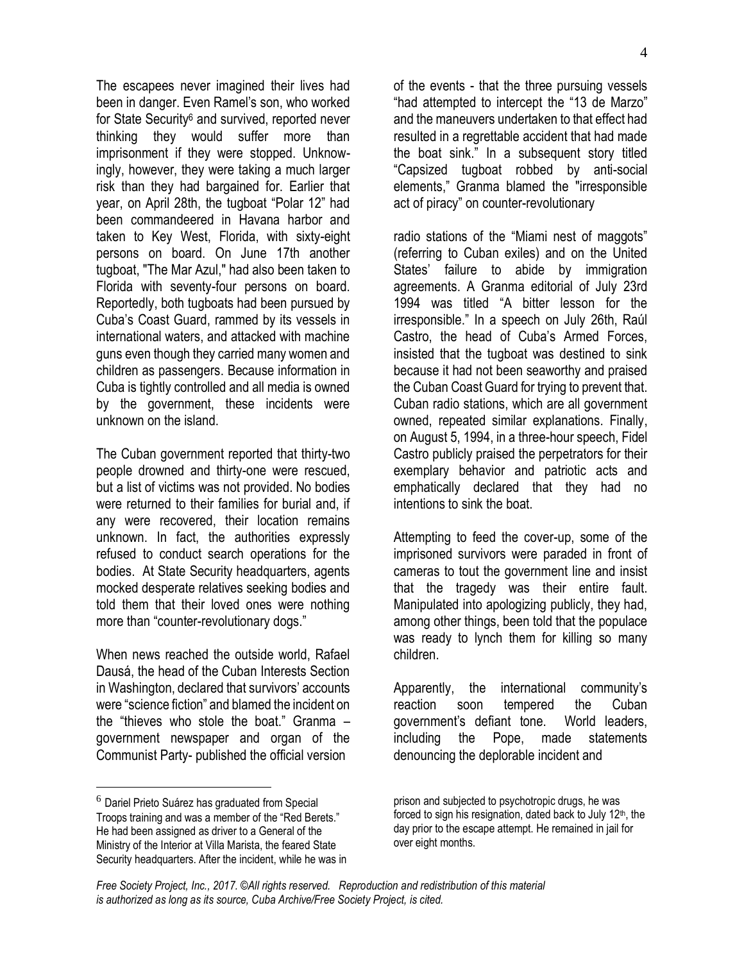The escapees never imagined their lives had been in danger. Even Ramel's son, who worked for State Security<sup>6</sup> and survived, reported never thinking they would suffer more than imprisonment if they were stopped. Unknowingly, however, they were taking a much larger risk than they had bargained for. Earlier that year, on April 28th, the tugboat "Polar 12" had been commandeered in Havana harbor and taken to Key West, Florida, with sixty-eight persons on board. On June 17th another tugboat, "The Mar Azul," had also been taken to Florida with seventy-four persons on board. Reportedly, both tugboats had been pursued by Cuba's Coast Guard, rammed by its vessels in international waters, and attacked with machine guns even though they carried many women and children as passengers. Because information in Cuba is tightly controlled and all media is owned by the government, these incidents were unknown on the island.

The Cuban government reported that thirty-two people drowned and thirty-one were rescued, but a list of victims was not provided. No bodies were returned to their families for burial and, if any were recovered, their location remains unknown. In fact, the authorities expressly refused to conduct search operations for the bodies. At State Security headquarters, agents mocked desperate relatives seeking bodies and told them that their loved ones were nothing more than "counter-revolutionary dogs."

When news reached the outside world, Rafael Dausá, the head of the Cuban Interests Section in Washington, declared that survivors' accounts were "science fiction" and blamed the incident on the "thieves who stole the boat." Granma – government newspaper and organ of the Communist Party- published the official version

 $\overline{a}$ 

of the events - that the three pursuing vessels "had attempted to intercept the "13 de Marzo" and the maneuvers undertaken to that effect had resulted in a regrettable accident that had made the boat sink." In a subsequent story titled "Capsized tugboat robbed by anti-social elements," Granma blamed the "irresponsible act of piracy" on counter-revolutionary

radio stations of the "Miami nest of maggots" (referring to Cuban exiles) and on the United States' failure to abide by immigration agreements. A Granma editorial of July 23rd 1994 was titled "A bitter lesson for the irresponsible." In a speech on July 26th, Raúl Castro, the head of Cuba's Armed Forces, insisted that the tugboat was destined to sink because it had not been seaworthy and praised the Cuban Coast Guard for trying to prevent that. Cuban radio stations, which are all government owned, repeated similar explanations. Finally, on August 5, 1994, in a three-hour speech, Fidel Castro publicly praised the perpetrators for their exemplary behavior and patriotic acts and emphatically declared that they had no intentions to sink the boat.

Attempting to feed the cover-up, some of the imprisoned survivors were paraded in front of cameras to tout the government line and insist that the tragedy was their entire fault. Manipulated into apologizing publicly, they had, among other things, been told that the populace was ready to lynch them for killing so many children.

Apparently, the international community's reaction soon tempered the Cuban government's defiant tone. World leaders, including the Pope, made statements denouncing the deplorable incident and

<sup>6</sup> Dariel Prieto Suárez has graduated from Special Troops training and was a member of the "Red Berets." He had been assigned as driver to a General of the Ministry of the Interior at Villa Marista, the feared State Security headquarters. After the incident, while he was in

prison and subjected to psychotropic drugs, he was forced to sign his resignation, dated back to July 12<sup>th</sup>, the day prior to the escape attempt. He remained in jail for over eight months.

*Free Society Project, Inc., 2017. ©All rights reserved. Reproduction and redistribution of this material is authorized as long as its source, Cuba Archive/Free Society Project, is cited.*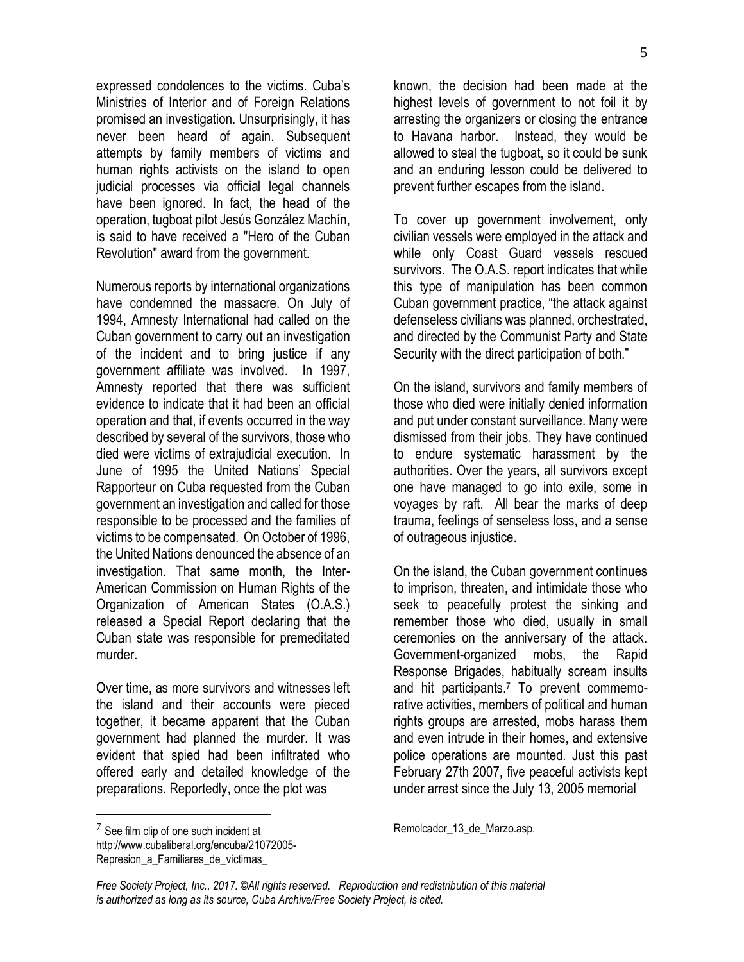expressed condolences to the victims. Cuba's Ministries of Interior and of Foreign Relations promised an investigation. Unsurprisingly, it has never been heard of again. Subsequent attempts by family members of victims and human rights activists on the island to open judicial processes via official legal channels have been ignored. In fact, the head of the operation, tugboat pilot Jesús González Machín, is said to have received a "Hero of the Cuban Revolution" award from the government.

Numerous reports by international organizations have condemned the massacre. On July of 1994, Amnesty International had called on the Cuban government to carry out an investigation of the incident and to bring justice if any government affiliate was involved. In 1997, Amnesty reported that there was sufficient evidence to indicate that it had been an official operation and that, if events occurred in the way described by several of the survivors, those who died were victims of extrajudicial execution. In June of 1995 the United Nations' Special Rapporteur on Cuba requested from the Cuban government an investigation and called for those responsible to be processed and the families of victims to be compensated. On October of 1996, the United Nations denounced the absence of an investigation. That same month, the Inter-American Commission on Human Rights of the Organization of American States (O.A.S.) released a Special Report declaring that the Cuban state was responsible for premeditated murder.

Over time, as more survivors and witnesses left the island and their accounts were pieced together, it became apparent that the Cuban government had planned the murder. It was evident that spied had been infiltrated who offered early and detailed knowledge of the preparations. Reportedly, once the plot was

known, the decision had been made at the highest levels of government to not foil it by arresting the organizers or closing the entrance to Havana harbor. Instead, they would be allowed to steal the tugboat, so it could be sunk and an enduring lesson could be delivered to prevent further escapes from the island.

To cover up government involvement, only civilian vessels were employed in the attack and while only Coast Guard vessels rescued survivors. The O.A.S. report indicates that while this type of manipulation has been common Cuban government practice, "the attack against defenseless civilians was planned, orchestrated, and directed by the Communist Party and State Security with the direct participation of both."

On the island, survivors and family members of those who died were initially denied information and put under constant surveillance. Many were dismissed from their jobs. They have continued to endure systematic harassment by the authorities. Over the years, all survivors except one have managed to go into exile, some in voyages by raft. All bear the marks of deep trauma, feelings of senseless loss, and a sense of outrageous injustice.

On the island, the Cuban government continues to imprison, threaten, and intimidate those who seek to peacefully protest the sinking and remember those who died, usually in small ceremonies on the anniversary of the attack. Government-organized mobs, the Rapid Response Brigades, habitually scream insults and hit participants.<sup>7</sup> To prevent commemorative activities, members of political and human rights groups are arrested, mobs harass them and even intrude in their homes, and extensive police operations are mounted. Just this past February 27th 2007, five peaceful activists kept under arrest since the July 13, 2005 memorial

 $\overline{a}$ 

Remolcador\_13\_de\_Marzo.asp.

 $7$  See film clip of one such incident at

[http://www.cubaliberal.org/encuba/21072005-](http://www.cubaliberal.org/encuba/21072005-Represion_a_Familiares_de_victimas_) Represion a Familiares de victimas

*Free Society Project, Inc., 2017. ©All rights reserved. Reproduction and redistribution of this material is authorized as long as its source, Cuba Archive/Free Society Project, is cited.*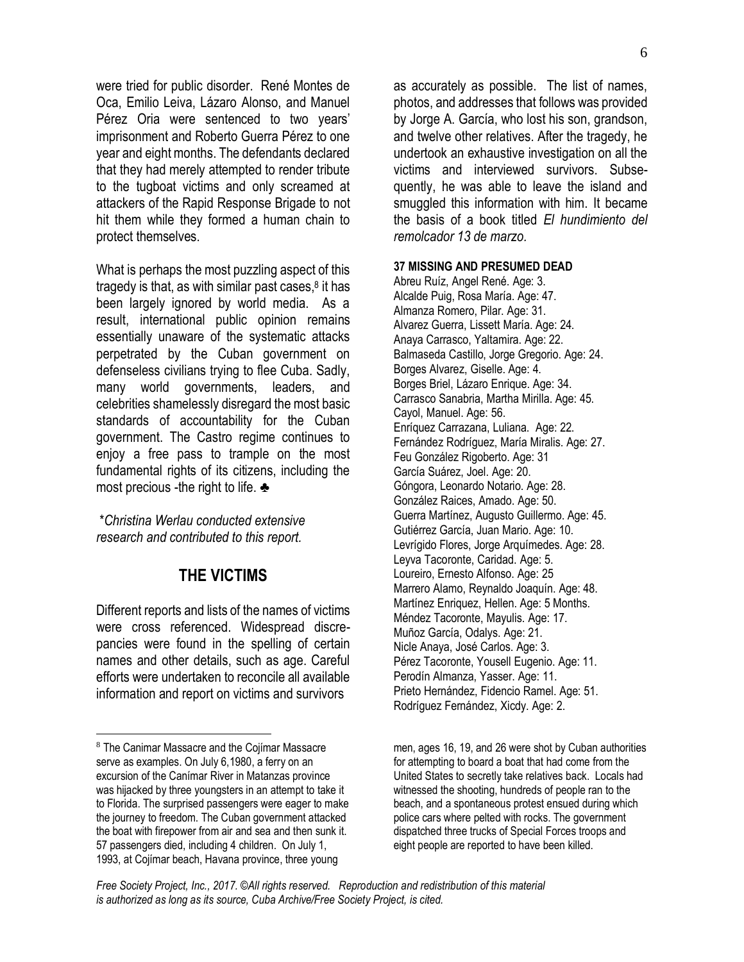were tried for public disorder. René Montes de Oca, Emilio Leiva, Lázaro Alonso, and Manuel Pérez Oria were sentenced to two years' imprisonment and Roberto Guerra Pérez to one year and eight months. The defendants declared that they had merely attempted to render tribute to the tugboat victims and only screamed at attackers of the Rapid Response Brigade to not hit them while they formed a human chain to protect themselves.

What is perhaps the most puzzling aspect of this tragedy is that, as with similar past cases, $8$  it has been largely ignored by world media. As a result, international public opinion remains essentially unaware of the systematic attacks perpetrated by the Cuban government on defenseless civilians trying to flee Cuba. Sadly, many world governments, leaders, and celebrities shamelessly disregard the most basic standards of accountability for the Cuban government. The Castro regime continues to enjoy a free pass to trample on the most fundamental rights of its citizens, including the most precious -the right to life. ♣

\**Christina Werlau conducted extensive research and contributed to this report.*

## **THE VICTIMS**

Different reports and lists of the names of victims were cross referenced. Widespread discrepancies were found in the spelling of certain names and other details, such as age. Careful efforts were undertaken to reconcile all available information and report on victims and survivors

 $\overline{a}$ 

as accurately as possible. The list of names, photos, and addresses that follows was provided by Jorge A. García, who lost his son, grandson, and twelve other relatives. After the tragedy, he undertook an exhaustive investigation on all the victims and interviewed survivors. Subsequently, he was able to leave the island and smuggled this information with him. It became the basis of a book titled *El hundimiento del remolcador 13 de marzo.*

## **37 MISSING AND PRESUMED DEAD**

Abreu Ruíz, Angel René. Age: 3. Alcalde Puig, Rosa María. Age: 47. Almanza Romero, Pilar. Age: 31. Alvarez Guerra, Lissett María. Age: 24. Anaya Carrasco, Yaltamira. Age: 22. Balmaseda Castillo, Jorge Gregorio. Age: 24. Borges Alvarez, Giselle. Age: 4. Borges Briel, Lázaro Enrique. Age: 34. Carrasco Sanabria, Martha Mirilla. Age: 45. Cayol, Manuel. Age: 56. Enríquez Carrazana, Luliana. Age: 22. Fernández Rodríguez, María Miralis. Age: 27. Feu González Rigoberto. Age: 31 García Suárez, Joel. Age: 20. Góngora, Leonardo Notario. Age: 28. González Raices, Amado. Age: 50. Guerra Martínez, Augusto Guillermo. Age: 45. Gutiérrez García, Juan Mario. Age: 10. Levrígido Flores, Jorge Arquímedes. Age: 28. Leyva Tacoronte, Caridad. Age: 5. Loureiro, Ernesto Alfonso. Age: 25 Marrero Alamo, Reynaldo Joaquín. Age: 48. Martínez Enriquez, Hellen. Age: 5 Months. Méndez Tacoronte, Mayulis. Age: 17. Muñoz García, Odalys. Age: 21. Nicle Anaya, José Carlos. Age: 3. Pérez Tacoronte, Yousell Eugenio. Age: 11. Perodín Almanza, Yasser. Age: 11. Prieto Hernández, Fidencio Ramel. Age: 51. Rodríguez Fernández, Xicdy. Age: 2.

<sup>8</sup> The Canimar Massacre and the Cojímar Massacre serve as examples. On July 6,1980, a ferry on an excursion of the Canímar River in Matanzas province was hijacked by three youngsters in an attempt to take it to Florida. The surprised passengers were eager to make the journey to freedom. The Cuban government attacked the boat with firepower from air and sea and then sunk it. 57 passengers died, including 4 children. On July 1, 1993, at Cojímar beach, Havana province, three young

men, ages 16, 19, and 26 were shot by Cuban authorities for attempting to board a boat that had come from the United States to secretly take relatives back. Locals had witnessed the shooting, hundreds of people ran to the beach, and a spontaneous protest ensued during which police cars where pelted with rocks. The government dispatched three trucks of Special Forces troops and eight people are reported to have been killed.

*Free Society Project, Inc., 2017. ©All rights reserved. Reproduction and redistribution of this material is authorized as long as its source, Cuba Archive/Free Society Project, is cited.*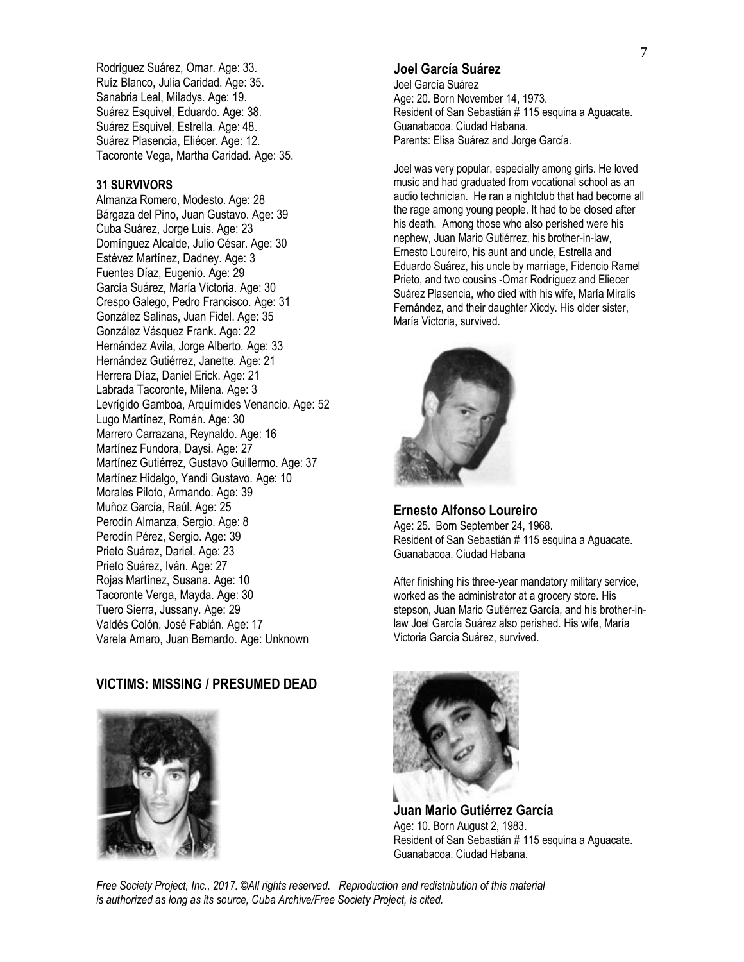Rodríguez Suárez, Omar. Age: 33. Ruíz Blanco, Julia Caridad. Age: 35. Sanabria Leal, Miladys. Age: 19. Suárez Esquivel, Eduardo. Age: 38. Suárez Esquivel, Estrella. Age: 48. Suárez Plasencia, Eliécer. Age: 12. Tacoronte Vega, Martha Caridad. Age: 35.

#### **31 SURVIVORS**

Almanza Romero, Modesto. Age: 28 Bárgaza del Pino, Juan Gustavo. Age: 39 Cuba Suárez, Jorge Luis. Age: 23 Domínguez Alcalde, Julio César. Age: 30 Estévez Martínez, Dadney. Age: 3 Fuentes Díaz, Eugenio. Age: 29 García Suárez, María Victoria. Age: 30 Crespo Galego, Pedro Francisco. Age: 31 González Salinas, Juan Fidel. Age: 35 González Vásquez Frank. Age: 22 Hernández Avila, Jorge Alberto. Age: 33 Hernández Gutiérrez, Janette. Age: 21 Herrera Díaz, Daniel Erick. Age: 21 Labrada Tacoronte, Milena. Age: 3 Levrígido Gamboa, Arquímides Venancio. Age: 52 Lugo Martínez, Román. Age: 30 Marrero Carrazana, Reynaldo. Age: 16 Martínez Fundora, Daysi. Age: 27 Martínez Gutiérrez, Gustavo Guillermo. Age: 37 Martínez Hidalgo, Yandi Gustavo. Age: 10 Morales Piloto, Armando. Age: 39 Muñoz García, Raúl. Age: 25 Perodín Almanza, Sergio. Age: 8 Perodín Pérez, Sergio. Age: 39 Prieto Suárez, Dariel. Age: 23 Prieto Suárez, Iván. Age: 27 Rojas Martínez, Susana. Age: 10 Tacoronte Verga, Mayda. Age: 30 Tuero Sierra, Jussany. Age: 29 Valdés Colón, José Fabián. Age: 17 Varela Amaro, Juan Bernardo. Age: Unknown

### **VICTIMS: MISSING / PRESUMED DEAD**



## **Joel García Suárez**

Joel García Suárez Age: 20. Born November 14, 1973. Resident of San Sebastián # 115 esquina a Aguacate. Guanabacoa. Ciudad Habana. Parents: Elisa Suárez and Jorge García.

Joel was very popular, especially among girls. He loved music and had graduated from vocational school as an audio technician. He ran a nightclub that had become all the rage among young people. It had to be closed after his death. Among those who also perished were his nephew, Juan Mario Gutiérrez, his brother-in-law, Ernesto Loureiro, his aunt and uncle, Estrella and Eduardo Suárez, his uncle by marriage, Fidencio Ramel Prieto, and two cousins -Omar Rodríguez and Eliecer Suárez Plasencia, who died with his wife, María Miralis Fernández, and their daughter Xicdy. His older sister, María Victoria, survived.



#### **Ernesto Alfonso Loureiro**

Age: 25. Born September 24, 1968. Resident of San Sebastián # 115 esquina a Aguacate. Guanabacoa. Ciudad Habana

After finishing his three-year mandatory military service, worked as the administrator at a grocery store. His stepson, Juan Mario Gutiérrez García, and his brother-inlaw Joel García Suárez also perished. His wife, María Victoria García Suárez, survived.



**Juan Mario Gutiérrez García** Age: 10. Born August 2, 1983. Resident of San Sebastián # 115 esquina a Aguacate. Guanabacoa. Ciudad Habana.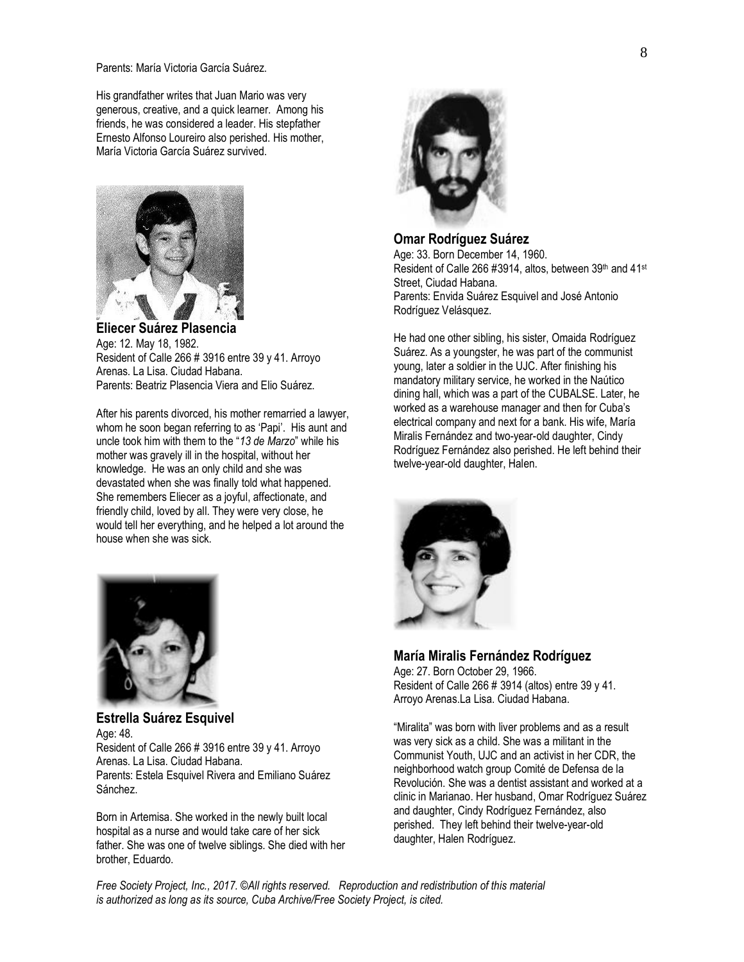Parents: María Victoria García Suárez.

His grandfather writes that Juan Mario was very generous, creative, and a quick learner. Among his friends, he was considered a leader. His stepfather Ernesto Alfonso Loureiro also perished. His mother, María Victoria García Suárez survived.



**Eliecer Suárez Plasencia** Age: 12. May 18, 1982. Resident of Calle 266 # 3916 entre 39 y 41. Arroyo Arenas. La Lisa. Ciudad Habana. Parents: Beatriz Plasencia Viera and Elio Suárez.

After his parents divorced, his mother remarried a lawyer, whom he soon began referring to as 'Papi'. His aunt and uncle took him with them to the "*13 de Marzo*" while his mother was gravely ill in the hospital, without her knowledge. He was an only child and she was devastated when she was finally told what happened. She remembers Eliecer as a joyful, affectionate, and friendly child, loved by all. They were very close, he would tell her everything, and he helped a lot around the house when she was sick.



**Estrella Suárez Esquivel** Age: 48. Resident of Calle 266 # 3916 entre 39 y 41. Arroyo Arenas. La Lisa. Ciudad Habana. Parents: Estela Esquivel Rivera and Emiliano Suárez Sánchez.

Born in Artemisa. She worked in the newly built local hospital as a nurse and would take care of her sick father. She was one of twelve siblings. She died with her brother, Eduardo.



**Omar Rodríguez Suárez** Age: 33. Born December 14, 1960. Resident of Calle 266 #3914, altos, between 39th and 41st Street, Ciudad Habana. Parents: Envida Suárez Esquivel and José Antonio Rodríguez Velásquez.

He had one other sibling, his sister, Omaida Rodríguez Suárez. As a youngster, he was part of the communist young, later a soldier in the UJC. After finishing his mandatory military service, he worked in the Naútico dining hall, which was a part of the CUBALSE. Later, he worked as a warehouse manager and then for Cuba's electrical company and next for a bank. His wife, María Miralis Fernández and two-year-old daughter, Cindy Rodríguez Fernández also perished. He left behind their twelve-year-old daughter, Halen.



### **María Miralis Fernández Rodríguez**

Age: 27. Born October 29, 1966. Resident of Calle 266 # 3914 (altos) entre 39 y 41. Arroyo Arenas.La Lisa. Ciudad Habana.

"Miralita" was born with liver problems and as a result was very sick as a child. She was a militant in the Communist Youth, UJC and an activist in her CDR, the neighborhood watch group Comité de Defensa de la Revolución. She was a dentist assistant and worked at a clinic in Marianao. Her husband, Omar Rodríguez Suárez and daughter, Cindy Rodríguez Fernández, also perished. They left behind their twelve-year-old daughter, Halen Rodríguez.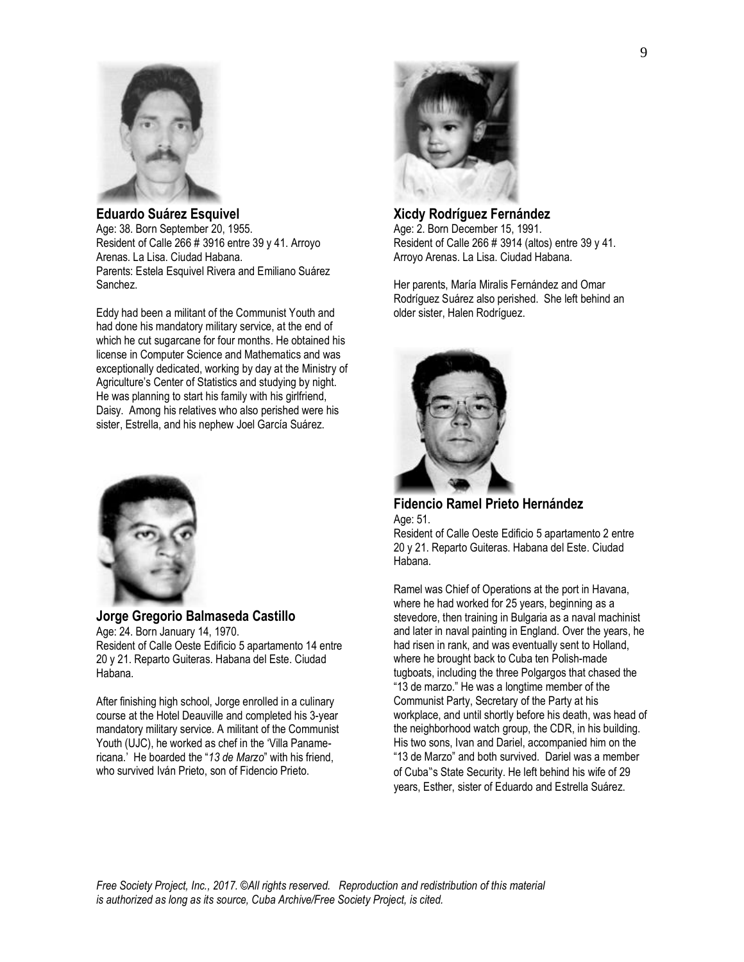

**Eduardo Suárez Esquivel** Age: 38. Born September 20, 1955. Resident of Calle 266 # 3916 entre 39 y 41. Arroyo Arenas. La Lisa. Ciudad Habana. Parents: Estela Esquivel Rivera and Emiliano Suárez Sanchez.

Eddy had been a militant of the Communist Youth and had done his mandatory military service, at the end of which he cut sugarcane for four months. He obtained his license in Computer Science and Mathematics and was exceptionally dedicated, working by day at the Ministry of Agriculture's Center of Statistics and studying by night. He was planning to start his family with his girlfriend, Daisy. Among his relatives who also perished were his sister, Estrella, and his nephew Joel García Suárez.



**Jorge Gregorio Balmaseda Castillo** Age: 24. Born January 14, 1970. Resident of Calle Oeste Edificio 5 apartamento 14 entre 20 y 21. Reparto Guiteras. Habana del Este. Ciudad Habana.

After finishing high school, Jorge enrolled in a culinary course at the Hotel Deauville and completed his 3-year mandatory military service. A militant of the Communist Youth (UJC), he worked as chef in the 'Villa Panamericana.' He boarded the "*13 de Marzo*" with his friend, who survived Iván Prieto, son of Fidencio Prieto.



#### **Xicdy Rodríguez Fernández** Age: 2. Born December 15, 1991.

Resident of Calle 266 # 3914 (altos) entre 39 y 41. Arroyo Arenas. La Lisa. Ciudad Habana.

Her parents, María Miralis Fernández and Omar Rodríguez Suárez also perished. She left behind an older sister, Halen Rodríguez.



**Fidencio Ramel Prieto Hernández** Age: 51.

Resident of Calle Oeste Edificio 5 apartamento 2 entre 20 y 21. Reparto Guiteras. Habana del Este. Ciudad Habana.

Ramel was Chief of Operations at the port in Havana, where he had worked for 25 years, beginning as a stevedore, then training in Bulgaria as a naval machinist and later in naval painting in England. Over the years, he had risen in rank, and was eventually sent to Holland, where he brought back to Cuba ten Polish-made tugboats, including the three Polgargos that chased the "13 de marzo." He was a longtime member of the Communist Party, Secretary of the Party at his workplace, and until shortly before his death, was head of the neighborhood watch group, the CDR, in his building. His two sons, Ivan and Dariel, accompanied him on the "13 de Marzo" and both survived. Dariel was a member of Cuba"s State Security. He left behind his wife of 29 years, Esther, sister of Eduardo and Estrella Suárez.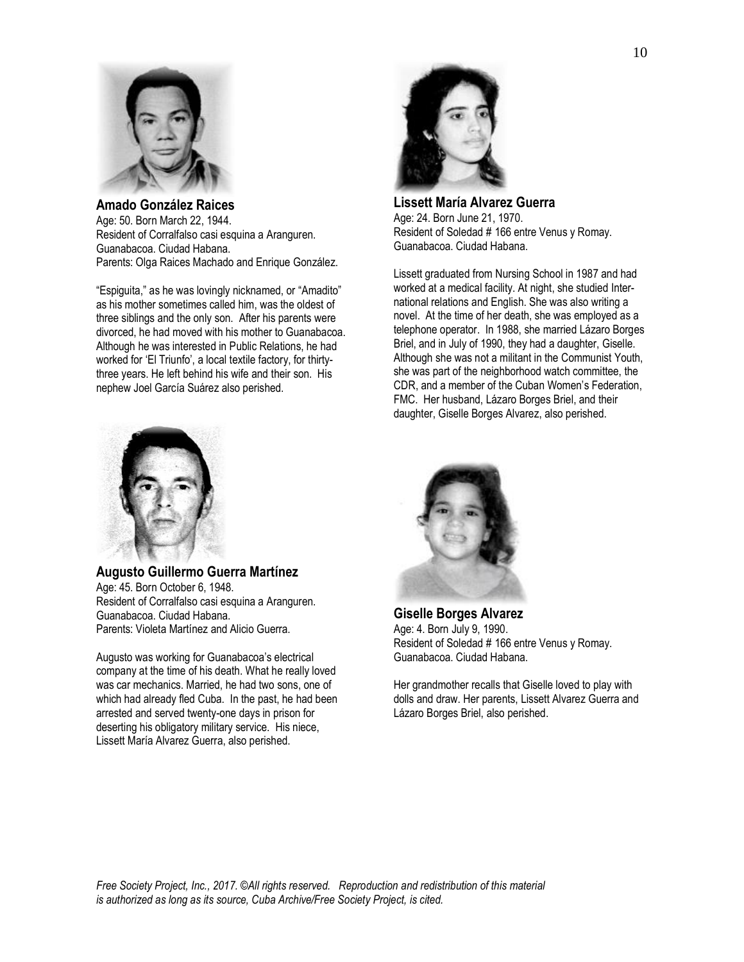

**Amado González Raices** Age: 50. Born March 22, 1944. Resident of Corralfalso casi esquina a Aranguren. Guanabacoa. Ciudad Habana. Parents: Olga Raices Machado and Enrique González.

"Espiguita," as he was lovingly nicknamed, or "Amadito" as his mother sometimes called him, was the oldest of three siblings and the only son. After his parents were divorced, he had moved with his mother to Guanabacoa. Although he was interested in Public Relations, he had worked for 'El Triunfo', a local textile factory, for thirtythree years. He left behind his wife and their son. His nephew Joel García Suárez also perished.



**Augusto Guillermo Guerra Martínez** Age: 45. Born October 6, 1948. Resident of Corralfalso casi esquina a Aranguren. Guanabacoa. Ciudad Habana. Parents: Violeta Martínez and Alicio Guerra.

Augusto was working for Guanabacoa's electrical company at the time of his death. What he really loved was car mechanics. Married, he had two sons, one of which had already fled Cuba. In the past, he had been arrested and served twenty-one days in prison for deserting his obligatory military service. His niece, Lissett María Alvarez Guerra, also perished.



**Lissett María Alvarez Guerra** Age: 24. Born June 21, 1970. Resident of Soledad # 166 entre Venus y Romay. Guanabacoa. Ciudad Habana.

Lissett graduated from Nursing School in 1987 and had worked at a medical facility. At night, she studied International relations and English. She was also writing a novel. At the time of her death, she was employed as a telephone operator. In 1988, she married Lázaro Borges Briel, and in July of 1990, they had a daughter, Giselle. Although she was not a militant in the Communist Youth, she was part of the neighborhood watch committee, the CDR, and a member of the Cuban Women's Federation, FMC. Her husband, Lázaro Borges Briel, and their daughter, Giselle Borges Alvarez, also perished.



**Giselle Borges Alvarez** Age: 4. Born July 9, 1990. Resident of Soledad # 166 entre Venus y Romay. Guanabacoa. Ciudad Habana.

Her grandmother recalls that Giselle loved to play with dolls and draw. Her parents, Lissett Alvarez Guerra and Lázaro Borges Briel, also perished.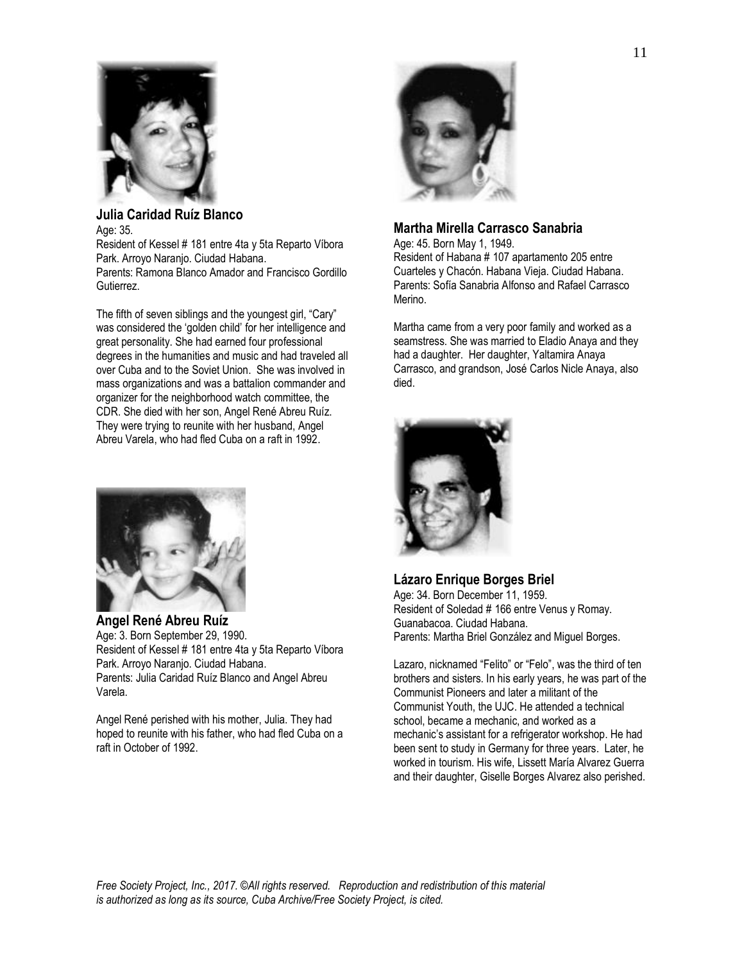

### **Julia Caridad Ruíz Blanco** Age: 35. Resident of Kessel # 181 entre 4ta y 5ta Reparto Víbora

Park. Arroyo Naranjo. Ciudad Habana. Parents: Ramona Blanco Amador and Francisco Gordillo Gutierrez.

The fifth of seven siblings and the youngest girl, "Cary" was considered the 'golden child' for her intelligence and great personality. She had earned four professional degrees in the humanities and music and had traveled all over Cuba and to the Soviet Union. She was involved in mass organizations and was a battalion commander and organizer for the neighborhood watch committee, the CDR. She died with her son, Angel René Abreu Ruíz. They were trying to reunite with her husband, Angel Abreu Varela, who had fled Cuba on a raft in 1992.



**Angel René Abreu Ruíz** Age: 3. Born September 29, 1990. Resident of Kessel # 181 entre 4ta y 5ta Reparto Víbora Park. Arroyo Naranjo. Ciudad Habana. Parents: Julia Caridad Ruíz Blanco and Angel Abreu Varela.

Angel René perished with his mother, Julia. They had hoped to reunite with his father, who had fled Cuba on a raft in October of 1992.



# **Martha Mirella Carrasco Sanabria**

Age: 45. Born May 1, 1949. Resident of Habana # 107 apartamento 205 entre Cuarteles y Chacón. Habana Vieja. Ciudad Habana. Parents: Sofía Sanabria Alfonso and Rafael Carrasco Merino.

Martha came from a very poor family and worked as a seamstress. She was married to Eladio Anaya and they had a daughter. Her daughter, Yaltamira Anaya Carrasco, and grandson, José Carlos Nicle Anaya, also died.



**Lázaro Enrique Borges Briel** Age: 34. Born December 11, 1959. Resident of Soledad # 166 entre Venus y Romay. Guanabacoa. Ciudad Habana. Parents: Martha Briel González and Miguel Borges.

Lazaro, nicknamed "Felito" or "Felo", was the third of ten brothers and sisters. In his early years, he was part of the Communist Pioneers and later a militant of the Communist Youth, the UJC. He attended a technical school, became a mechanic, and worked as a mechanic's assistant for a refrigerator workshop. He had been sent to study in Germany for three years. Later, he worked in tourism. His wife, Lissett María Alvarez Guerra and their daughter, Giselle Borges Alvarez also perished.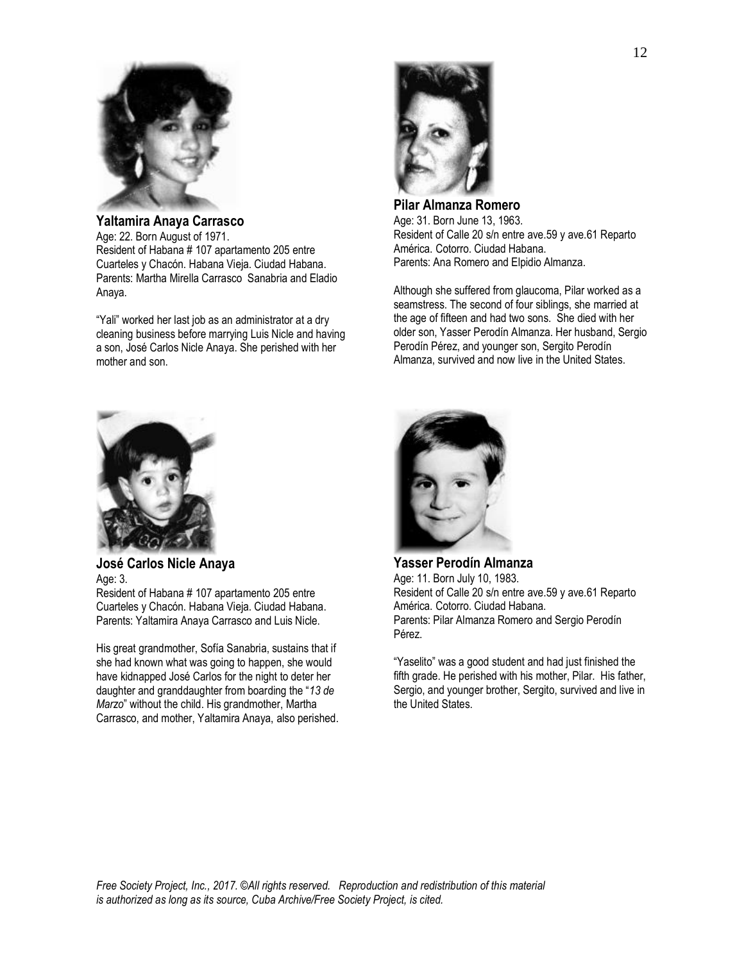

**Yaltamira Anaya Carrasco** Age: 22. Born August of 1971. Resident of Habana # 107 apartamento 205 entre Cuarteles y Chacón. Habana Vieja. Ciudad Habana. Parents: Martha Mirella Carrasco Sanabria and Eladio Anaya.

"Yali" worked her last job as an administrator at a dry cleaning business before marrying Luis Nicle and having a son, José Carlos Nicle Anaya. She perished with her mother and son.



**José Carlos Nicle Anaya** Age: 3. Resident of Habana # 107 apartamento 205 entre Cuarteles y Chacón. Habana Vieja. Ciudad Habana. Parents: Yaltamira Anaya Carrasco and Luis Nicle.

His great grandmother, Sofía Sanabria, sustains that if she had known what was going to happen, she would have kidnapped José Carlos for the night to deter her daughter and granddaughter from boarding the "*13 de Marzo*" without the child. His grandmother, Martha Carrasco, and mother, Yaltamira Anaya, also perished.



**Pilar Almanza Romero** Age: 31. Born June 13, 1963. Resident of Calle 20 s/n entre ave.59 y ave.61 Reparto América. Cotorro. Ciudad Habana. Parents: Ana Romero and Elpidio Almanza.

Although she suffered from glaucoma, Pilar worked as a seamstress. The second of four siblings, she married at the age of fifteen and had two sons. She died with her older son, Yasser Perodín Almanza. Her husband, Sergio Perodín Pérez, and younger son, Sergito Perodín Almanza, survived and now live in the United States.



**Yasser Perodín Almanza** Age: 11. Born July 10, 1983. Resident of Calle 20 s/n entre ave.59 y ave.61 Reparto América. Cotorro. Ciudad Habana. Parents: Pilar Almanza Romero and Sergio Perodín Pérez.

"Yaselito" was a good student and had just finished the fifth grade. He perished with his mother, Pilar. His father, Sergio, and younger brother, Sergito, survived and live in the United States.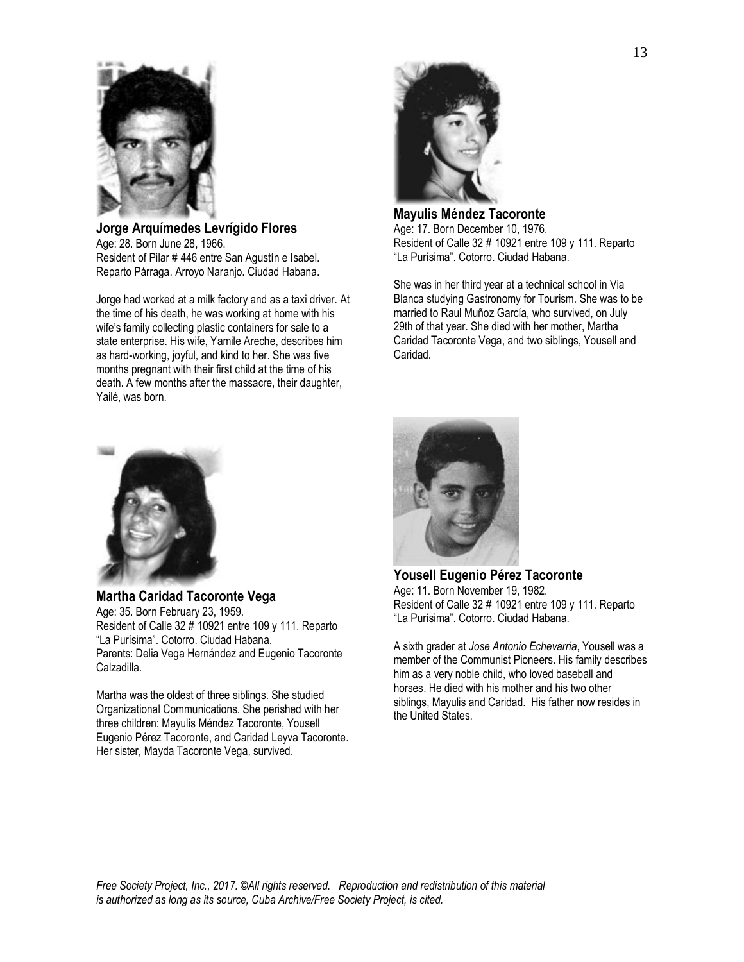

**Jorge Arquímedes Levrígido Flores** Age: 28. Born June 28, 1966. Resident of Pilar # 446 entre San Agustín e Isabel. Reparto Párraga. Arroyo Naranjo. Ciudad Habana.

Jorge had worked at a milk factory and as a taxi driver. At the time of his death, he was working at home with his wife's family collecting plastic containers for sale to a state enterprise. His wife, Yamile Areche, describes him as hard-working, joyful, and kind to her. She was five months pregnant with their first child at the time of his death. A few months after the massacre, their daughter, Yailé, was born.



**Mayulis Méndez Tacoronte** Age: 17. Born December 10, 1976. Resident of Calle 32 # 10921 entre 109 y 111. Reparto "La Purísima". Cotorro. Ciudad Habana.

She was in her third year at a technical school in Via Blanca studying Gastronomy for Tourism. She was to be married to Raul Muñoz García, who survived, on July 29th of that year. She died with her mother, Martha Caridad Tacoronte Vega, and two siblings, Yousell and Caridad.



**Martha Caridad Tacoronte Vega** Age: 35. Born February 23, 1959. Resident of Calle 32 # 10921 entre 109 y 111. Reparto "La Purísima". Cotorro. Ciudad Habana. Parents: Delia Vega Hernández and Eugenio Tacoronte Calzadilla.

Martha was the oldest of three siblings. She studied Organizational Communications. She perished with her three children: Mayulis Méndez Tacoronte, Yousell Eugenio Pérez Tacoronte, and Caridad Leyva Tacoronte. Her sister, Mayda Tacoronte Vega, survived.



**Yousell Eugenio Pérez Tacoronte** Age: 11. Born November 19, 1982. Resident of Calle 32 # 10921 entre 109 y 111. Reparto "La Purísima". Cotorro. Ciudad Habana.

A sixth grader at *Jose Antonio Echevarria*, Yousell was a member of the Communist Pioneers. His family describes him as a very noble child, who loved baseball and horses. He died with his mother and his two other siblings, Mayulis and Caridad. His father now resides in the United States.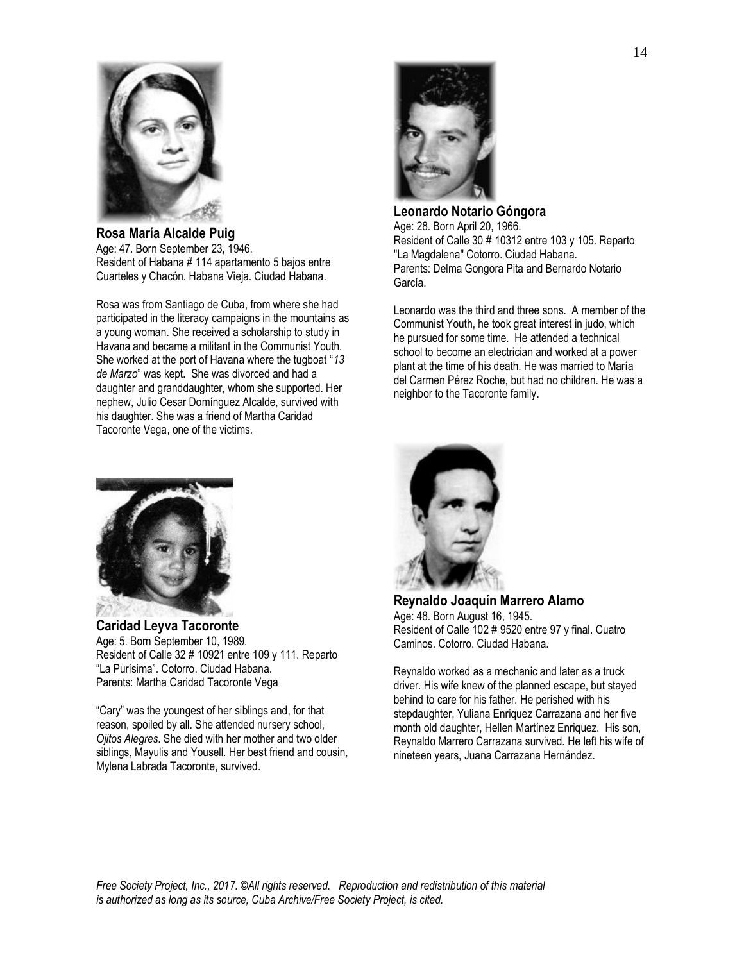

**Rosa María Alcalde Puig** Age: 47. Born September 23, 1946. Resident of Habana # 114 apartamento 5 bajos entre Cuarteles y Chacón. Habana Vieja. Ciudad Habana.

Rosa was from Santiago de Cuba, from where she had participated in the literacy campaigns in the mountains as a young woman. She received a scholarship to study in Havana and became a militant in the Communist Youth. She worked at the port of Havana where the tugboat "*13 de Marzo*" was kept. She was divorced and had a daughter and granddaughter, whom she supported. Her nephew, Julio Cesar Domínguez Alcalde, survived with his daughter. She was a friend of Martha Caridad Tacoronte Vega, one of the victims.



**Leonardo Notario Góngora** Age: 28. Born April 20, 1966. Resident of Calle 30 # 10312 entre 103 y 105. Reparto "La Magdalena" Cotorro. Ciudad Habana. Parents: Delma Gongora Pita and Bernardo Notario García.

Leonardo was the third and three sons. A member of the Communist Youth, he took great interest in judo, which he pursued for some time. He attended a technical school to become an electrician and worked at a power plant at the time of his death. He was married to María del Carmen Pérez Roche, but had no children. He was a neighbor to the Tacoronte family.



**Caridad Leyva Tacoronte** Age: 5. Born September 10, 1989. Resident of Calle 32 # 10921 entre 109 y 111. Reparto "La Purísima". Cotorro. Ciudad Habana. Parents: Martha Caridad Tacoronte Vega

"Cary" was the youngest of her siblings and, for that reason, spoiled by all. She attended nursery school, *Ojitos Alegres*. She died with her mother and two older siblings, Mayulis and Yousell. Her best friend and cousin, Mylena Labrada Tacoronte, survived.



**Reynaldo Joaquín Marrero Alamo** Age: 48. Born August 16, 1945. Resident of Calle 102 # 9520 entre 97 y final. Cuatro Caminos. Cotorro. Ciudad Habana.

Reynaldo worked as a mechanic and later as a truck driver. His wife knew of the planned escape, but stayed behind to care for his father. He perished with his stepdaughter, Yuliana Enriquez Carrazana and her five month old daughter, Hellen Martínez Enriquez. His son, Reynaldo Marrero Carrazana survived. He left his wife of nineteen years, Juana Carrazana Hernández.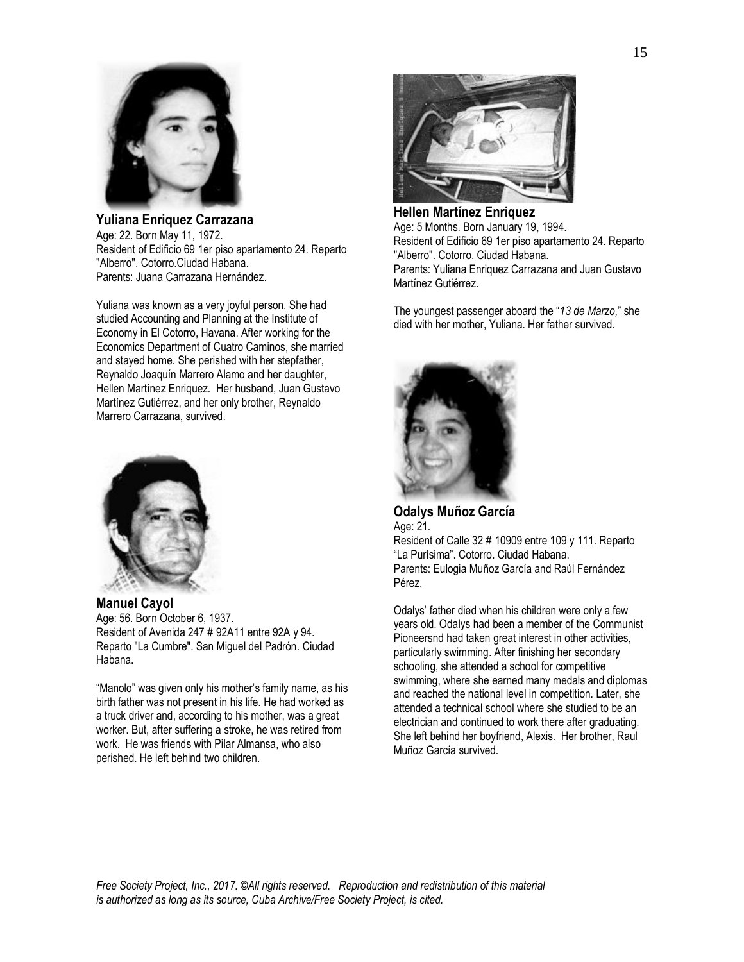

**Yuliana Enriquez Carrazana** Age: 22. Born May 11, 1972. Resident of Edificio 69 1er piso apartamento 24. Reparto "Alberro". Cotorro.Ciudad Habana. Parents: Juana Carrazana Hernández.

Yuliana was known as a very joyful person. She had studied Accounting and Planning at the Institute of Economy in El Cotorro, Havana. After working for the Economics Department of Cuatro Caminos, she married and stayed home. She perished with her stepfather, Reynaldo Joaquín Marrero Alamo and her daughter, Hellen Martínez Enriquez. Her husband, Juan Gustavo Martínez Gutiérrez, and her only brother, Reynaldo Marrero Carrazana, survived.



**Manuel Cayol** Age: 56. Born October 6, 1937. Resident of Avenida 247 # 92A11 entre 92A y 94. Reparto "La Cumbre". San Miguel del Padrón. Ciudad Habana.

"Manolo" was given only his mother's family name, as his birth father was not present in his life. He had worked as a truck driver and, according to his mother, was a great worker. But, after suffering a stroke, he was retired from work. He was friends with Pilar Almansa, who also perished. He left behind two children.



**Hellen Martínez Enriquez** Age: 5 Months. Born January 19, 1994. Resident of Edificio 69 1er piso apartamento 24. Reparto "Alberro". Cotorro. Ciudad Habana. Parents: Yuliana Enriquez Carrazana and Juan Gustavo Martínez Gutiérrez.

The youngest passenger aboard the "*13 de Marzo,*" she died with her mother, Yuliana. Her father survived.



**Odalys Muñoz García** Age: 21. Resident of Calle 32 # 10909 entre 109 y 111. Reparto

"La Purísima". Cotorro. Ciudad Habana. Parents: Eulogia Muñoz García and Raúl Fernández Pérez.

Odalys' father died when his children were only a few years old. Odalys had been a member of the Communist Pioneersnd had taken great interest in other activities, particularly swimming. After finishing her secondary schooling, she attended a school for competitive swimming, where she earned many medals and diplomas and reached the national level in competition. Later, she attended a technical school where she studied to be an electrician and continued to work there after graduating. She left behind her boyfriend, Alexis. Her brother, Raul Muñoz García survived.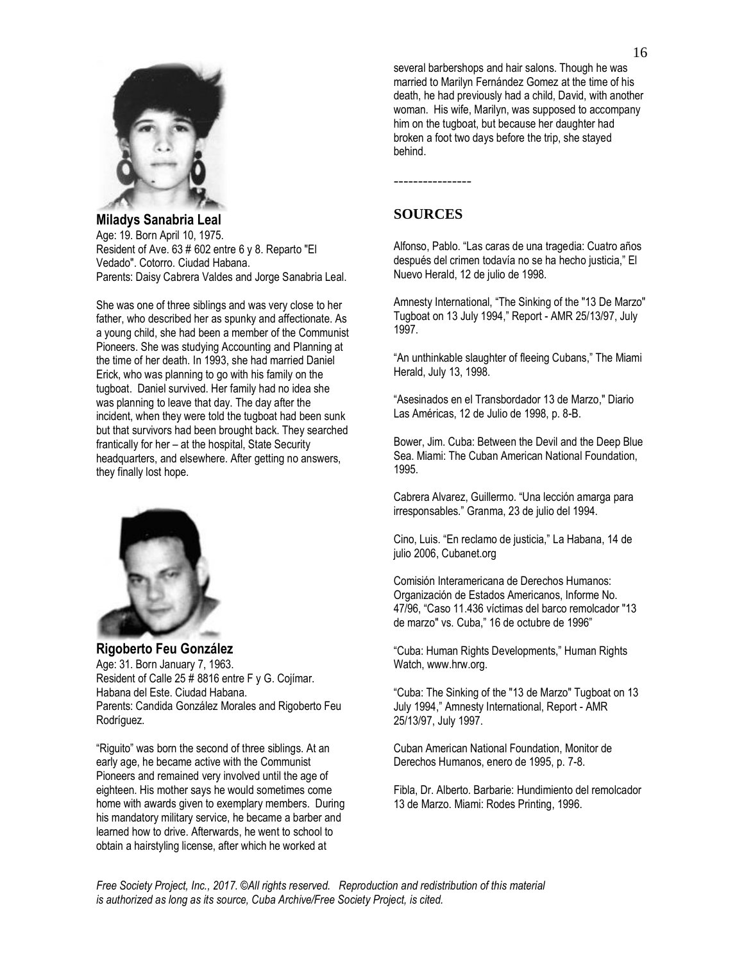

**Miladys Sanabria Leal** Age: 19. Born April 10, 1975. Resident of Ave. 63 # 602 entre 6 y 8. Reparto "El Vedado". Cotorro. Ciudad Habana. Parents: Daisy Cabrera Valdes and Jorge Sanabria Leal.

She was one of three siblings and was very close to her father, who described her as spunky and affectionate. As a young child, she had been a member of the Communist Pioneers. She was studying Accounting and Planning at the time of her death. In 1993, she had married Daniel Erick, who was planning to go with his family on the tugboat. Daniel survived. Her family had no idea she was planning to leave that day. The day after the incident, when they were told the tugboat had been sunk but that survivors had been brought back. They searched frantically for her – at the hospital, State Security headquarters, and elsewhere. After getting no answers, they finally lost hope.



**Rigoberto Feu González** Age: 31. Born January 7, 1963. Resident of Calle 25 # 8816 entre F y G. Cojímar. Habana del Este. Ciudad Habana. Parents: Candida González Morales and Rigoberto Feu Rodríguez.

"Riguito" was born the second of three siblings. At an early age, he became active with the Communist Pioneers and remained very involved until the age of eighteen. His mother says he would sometimes come home with awards given to exemplary members. During his mandatory military service, he became a barber and learned how to drive. Afterwards, he went to school to obtain a hairstyling license, after which he worked at

several barbershops and hair salons. Though he was married to Marilyn Fernández Gomez at the time of his death, he had previously had a child, David, with another woman. His wife, Marilyn, was supposed to accompany him on the tugboat, but because her daughter had broken a foot two days before the trip, she stayed behind.

## **SOURCES**

----------------

Alfonso, Pablo. "Las caras de una tragedia: Cuatro años después del crimen todavía no se ha hecho justicia," El Nuevo Herald, 12 de julio de 1998.

Amnesty International, "The Sinking of the "13 De Marzo" Tugboat on 13 July 1994," Report - AMR 25/13/97, July 1997.

"An unthinkable slaughter of fleeing Cubans," The Miami Herald, July 13, 1998.

"Asesinados en el Transbordador 13 de Marzo," Diario Las Américas, 12 de Julio de 1998, p. 8-B.

Bower, Jim. Cuba: Between the Devil and the Deep Blue Sea. Miami: The Cuban American National Foundation, 1995.

Cabrera Alvarez, Guillermo. "Una lección amarga para irresponsables." Granma, 23 de julio del 1994.

Cino, Luis. "En reclamo de justicia," La Habana, 14 de julio 2006, Cubanet.org

Comisión Interamericana de Derechos Humanos: Organización de Estados Americanos, Informe No. 47/96, "Caso 11.436 víctimas del barco remolcador "13 de marzo" vs. Cuba," 16 de octubre de 1996"

"Cuba: Human Rights Developments," Human Rights Watch, [www.hrw.org.](http://www.hrw.org/)

"Cuba: The Sinking of the "13 de Marzo" Tugboat on 13 July 1994," Amnesty International, Report - AMR 25/13/97, July 1997.

Cuban American National Foundation, Monitor de Derechos Humanos, enero de 1995, p. 7-8.

Fibla, Dr. Alberto. Barbarie: Hundimiento del remolcador 13 de Marzo. Miami: Rodes Printing, 1996.